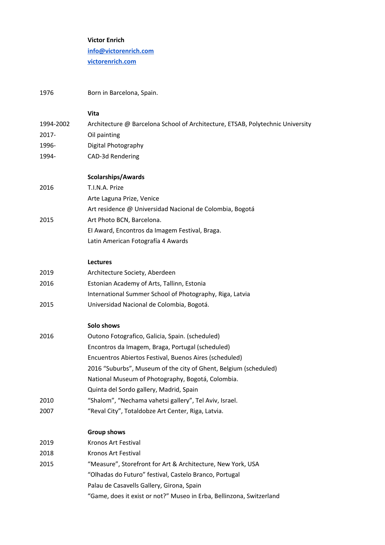|           | <b>Victor Enrich</b>                                                           |
|-----------|--------------------------------------------------------------------------------|
|           | info@victorenrich.com                                                          |
|           | victorenrich.com                                                               |
| 1976      |                                                                                |
|           | Born in Barcelona, Spain.                                                      |
|           | Vita                                                                           |
| 1994-2002 | Architecture @ Barcelona School of Architecture, ETSAB, Polytechnic University |
| 2017-     | Oil painting                                                                   |
| 1996-     | Digital Photography                                                            |
| 1994-     | CAD-3d Rendering                                                               |
|           | <b>Scolarships/Awards</b>                                                      |
| 2016      | T.I.N.A. Prize                                                                 |
|           | Arte Laguna Prize, Venice                                                      |
|           | Art residence @ Universidad Nacional de Colombia, Bogotá                       |
| 2015      | Art Photo BCN, Barcelona.                                                      |
|           | El Award, Encontros da Imagem Festival, Braga.                                 |
|           | Latin American Fotografía 4 Awards                                             |
|           | Lectures                                                                       |
| 2019      | Architecture Society, Aberdeen                                                 |
| 2016      | Estonian Academy of Arts, Tallinn, Estonia                                     |
|           | International Summer School of Photography, Riga, Latvia                       |
| 2015      | Universidad Nacional de Colombia, Bogotá.                                      |
|           | Solo shows                                                                     |
| 2016      | Outono Fotografico, Galicia, Spain. (scheduled)                                |
|           | Encontros da Imagem, Braga, Portugal (scheduled)                               |
|           | Encuentros Abiertos Festival, Buenos Aires (scheduled)                         |
|           | 2016 "Suburbs", Museum of the city of Ghent, Belgium (scheduled)               |
|           | National Museum of Photography, Bogotá, Colombia.                              |
|           | Quinta del Sordo gallery, Madrid, Spain                                        |
| 2010      | "Shalom", "Nechama vahetsi gallery", Tel Aviv, Israel.                         |
| 2007      | "Reval City", Totaldobze Art Center, Riga, Latvia.                             |
|           | <b>Group shows</b>                                                             |
| 2019      | Kronos Art Festival                                                            |
| 2018      | Kronos Art Festival                                                            |
| 2015      | "Measure", Storefront for Art & Architecture, New York, USA                    |
|           | "Olhadas do Futuro" festival, Castelo Branco, Portugal                         |
|           | Palau de Casavells Gallery, Girona, Spain                                      |
|           | "Game, does it exist or not?" Museo in Erba, Bellinzona, Switzerland           |